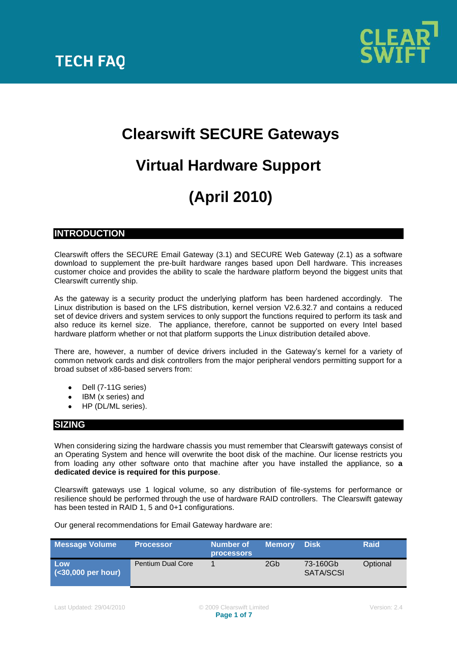

# **Clearswift SECURE Gateways**

### **Virtual Hardware Support**

# **(April 2010)**

#### **INTRODUCTION**

Clearswift offers the SECURE Email Gateway (3.1) and SECURE Web Gateway (2.1) as a software download to supplement the pre-built hardware ranges based upon Dell hardware. This increases customer choice and provides the ability to scale the hardware platform beyond the biggest units that Clearswift currently ship.

As the gateway is a security product the underlying platform has been hardened accordingly. The Linux distribution is based on the LFS distribution, kernel version V2.6.32.7 and contains a reduced set of device drivers and system services to only support the functions required to perform its task and also reduce its kernel size. The appliance, therefore, cannot be supported on every Intel based hardware platform whether or not that platform supports the Linux distribution detailed above.

There are, however, a number of device drivers included in the Gateway's kernel for a variety of common network cards and disk controllers from the major peripheral vendors permitting support for a broad subset of x86-based servers from:

- Dell (7-11G series)
- IBM (x series) and
- HP (DL/ML series).

#### **SIZING**

When considering sizing the hardware chassis you must remember that Clearswift gateways consist of an Operating System and hence will overwrite the boot disk of the machine. Our license restricts you from loading any other software onto that machine after you have installed the appliance, so **a dedicated device is required for this purpose**.

Clearswift gateways use 1 logical volume, so any distribution of file-systems for performance or resilience should be performed through the use of hardware RAID controllers. The Clearswift gateway has been tested in RAID 1, 5 and 0+1 configurations.

Our general recommendations for Email Gateway hardware are:

| <b>Message Volume</b>      | <b>Processor</b>         | Number of<br><b>processors</b> | <b>Memory</b> | <b>Disk</b>           | <b>Raid</b> |
|----------------------------|--------------------------|--------------------------------|---------------|-----------------------|-------------|
| Low<br>$(30,000 per hour)$ | <b>Pentium Dual Core</b> |                                | 2Gb           | 73-160Gb<br>SATA/SCSI | Optional    |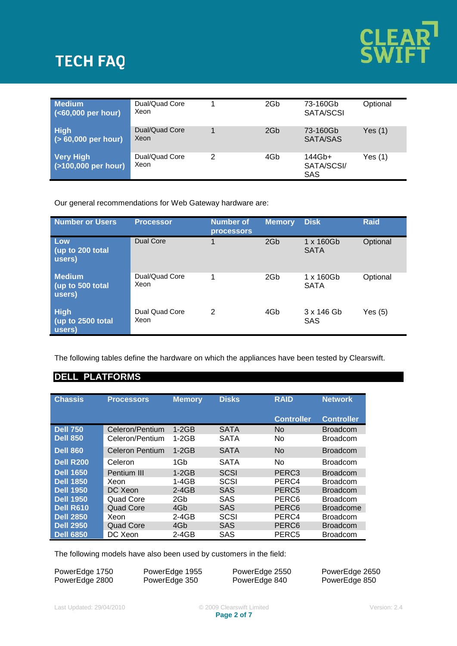

| <b>Medium</b><br>(<60,000 per hour)     | Dual/Quad Core<br>Xeon |   | 2Gb | 73-160Gb<br>SATA/SCSI         | Optional  |
|-----------------------------------------|------------------------|---|-----|-------------------------------|-----------|
| <b>High</b><br>$($ > 60,000 per hour)   | Dual/Quad Core<br>Xeon |   | 2Gb | 73-160Gb<br>SATA/SAS          | Yes $(1)$ |
| <b>Very High</b><br>(>100,000 per hour) | Dual/Quad Core<br>Xeon | 2 | 4Gb | $144Gb+$<br>SATA/SCSI/<br>SAS | Yes(1)    |

Our general recommendations for Web Gateway hardware are:

| <b>Number or Users</b>                      | <b>Processor</b>       | <b>Number of</b><br><b>processors</b> | <b>Memory</b>   | <b>Disk</b>              | <b>Raid</b> |
|---------------------------------------------|------------------------|---------------------------------------|-----------------|--------------------------|-------------|
| Low<br>(up to 200 total<br>users)           | Dual Core              | 1                                     | 2G <sub>b</sub> | 1 x 160Gb<br><b>SATA</b> | Optional    |
| <b>Medium</b><br>(up to 500 total<br>users) | Dual/Quad Core<br>Xeon | 1                                     | 2G <sub>b</sub> | 1 x 160Gb<br><b>SATA</b> | Optional    |
| <b>High</b><br>(up to 2500 total<br>users)  | Dual Quad Core<br>Xeon | 2                                     | 4Gb             | 3 x 146 Gb<br><b>SAS</b> | Yes (5)     |

The following tables define the hardware on which the appliances have been tested by Clearswift.

#### **DELL PLATFORMS**

| <b>Chassis</b>   | <b>Processors</b> | <b>Memory</b>   | <b>Disks</b> | <b>RAID</b>       | <b>Network</b>    |
|------------------|-------------------|-----------------|--------------|-------------------|-------------------|
|                  |                   |                 |              | <b>Controller</b> | <b>Controller</b> |
| <b>Dell 750</b>  | Celeron/Pentium   | $1-2GB$         | <b>SATA</b>  | No                | <b>Broadcom</b>   |
| <b>Dell 850</b>  | Celeron/Pentium   | $1-2GB$         | SATA         | No.               | <b>Broadcom</b>   |
| <b>Dell 860</b>  | Celeron Pentium   | $1-2GB$         | <b>SATA</b>  | <b>No</b>         | <b>Broadcom</b>   |
| <b>Dell R200</b> | Celeron           | 1Gh             | <b>SATA</b>  | <b>No</b>         | <b>Broadcom</b>   |
| <b>Dell 1650</b> | Pentium III       | $1-2GB$         | <b>SCSI</b>  | PERC <sub>3</sub> | <b>Broadcom</b>   |
| <b>Dell 1850</b> | Xeon              | $1 - 4GB$       | SCSI         | PERC4             | <b>Broadcom</b>   |
| <b>Dell 1950</b> | DC Xeon           | $2-4GB$         | <b>SAS</b>   | PERC <sub>5</sub> | <b>Broadcom</b>   |
| <b>Dell 1950</b> | Quad Core         | 2G <sub>b</sub> | SAS          | PERC <sub>6</sub> | <b>Broadcom</b>   |
| <b>Dell R610</b> | Quad Core         | 4Gb             | <b>SAS</b>   | PERC <sub>6</sub> | <b>Broadcome</b>  |
| <b>Dell 2850</b> | Xeon              | $2-4GB$         | SCSI         | PERC4             | <b>Broadcom</b>   |
| <b>Dell 2950</b> | <b>Quad Core</b>  | 4Gb             | <b>SAS</b>   | PERC <sub>6</sub> | <b>Broadcom</b>   |
| <b>Dell 6850</b> | DC Xeon           | $2-4GB$         | SAS          | PERC5             | <b>Broadcom</b>   |

The following models have also been used by customers in the field:

| PowerEdge 1750 | PowerEdge 1955 | PowerEdge 2550 | PowerEdge 2650 |
|----------------|----------------|----------------|----------------|
| PowerEdge 2800 | PowerEdge 350  | PowerEdge 840  | PowerEdge 850  |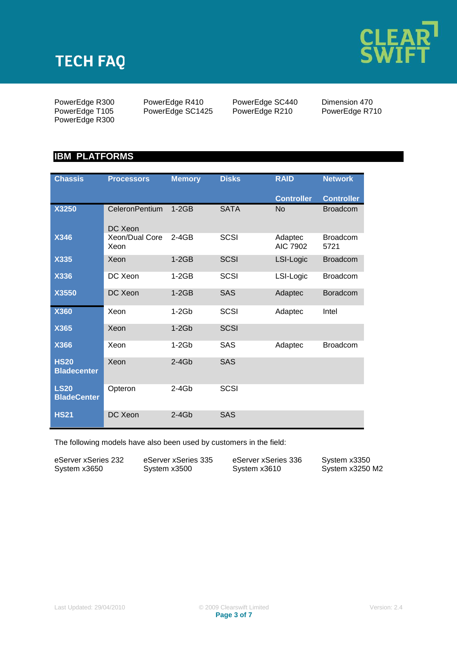

PowerEdge T105 PowerEdge R300

PowerEdge R300 PowerEdge R410 PowerEdge SC440 Dimension 470<br>PowerEdge T105 PowerEdge SC1425 PowerEdge R210 PowerEdge R710 PowerEdge SC1425

#### **IBM PLATFORMS**

| <b>Chassis</b>                    | <b>Processors</b>      | <b>Memory</b> | <b>Disks</b> | <b>RAID</b>         | <b>Network</b>          |
|-----------------------------------|------------------------|---------------|--------------|---------------------|-------------------------|
|                                   |                        |               |              | <b>Controller</b>   | <b>Controller</b>       |
| X3250                             | CeleronPentium         | $1-2GB$       | <b>SATA</b>  | <b>No</b>           | <b>Broadcom</b>         |
|                                   | DC Xeon                |               |              |                     |                         |
| X346                              | Xeon/Dual Core<br>Xeon | $2-4GB$       | <b>SCSI</b>  | Adaptec<br>AIC 7902 | <b>Broadcom</b><br>5721 |
| X335                              | Xeon                   | $1-2GB$       | <b>SCSI</b>  | LSI-Logic           | <b>Broadcom</b>         |
| <b>X336</b>                       | DC Xeon                | $1-2GB$       | <b>SCSI</b>  | LSI-Logic           | <b>Broadcom</b>         |
| X3550                             | DC Xeon                | $1-2GB$       | <b>SAS</b>   | Adaptec             | Boradcom                |
| <b>X360</b>                       | Xeon                   | $1-2Gb$       | <b>SCSI</b>  | Adaptec             | Intel                   |
| X365                              | Xeon                   | $1-2Gb$       | <b>SCSI</b>  |                     |                         |
| <b>X366</b>                       | Xeon                   | $1-2Gb$       | <b>SAS</b>   | Adaptec             | <b>Broadcom</b>         |
| <b>HS20</b><br><b>Bladecenter</b> | Xeon                   | $2-4Gb$       | <b>SAS</b>   |                     |                         |
| <b>LS20</b><br><b>BladeCenter</b> | Opteron                | $2-4Gb$       | <b>SCSI</b>  |                     |                         |
| <b>HS21</b>                       | DC Xeon                | $2-4Gb$       | <b>SAS</b>   |                     |                         |

The following models have also been used by customers in the field:

| eServer xSeries 232 | eServer xSeries 335 | eServer xSeries 336 | System x3350    |
|---------------------|---------------------|---------------------|-----------------|
| System x3650        | System x3500        | System x3610        | System x3250 M2 |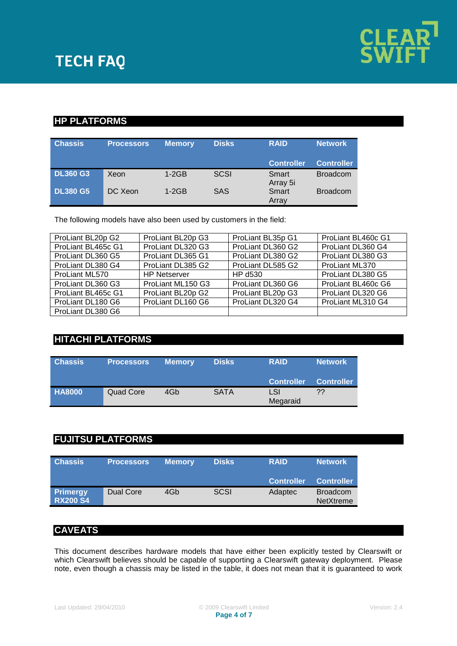#### **HP PLATFORMS**

| <b>Chassis</b>  | <b>Processors</b> | <b>Memory</b> | <b>Disks</b> | <b>RAID</b>       | <b>Network</b>    |
|-----------------|-------------------|---------------|--------------|-------------------|-------------------|
|                 |                   |               |              | <b>Controller</b> | <b>Controller</b> |
| <b>DL360 G3</b> | Xeon              | $1-2GB$       | <b>SCSI</b>  | Smart<br>Array 5i | <b>Broadcom</b>   |
| <b>DL380 G5</b> | DC Xeon           | $1-2GB$       | <b>SAS</b>   | Smart<br>Array    | <b>Broadcom</b>   |

The following models have also been used by customers in the field:

| ProLiant BL20p G2  | ProLiant BL20p G3   | ProLiant BL35p G1 | ProLiant BL460c G1    |
|--------------------|---------------------|-------------------|-----------------------|
| ProLiant BL465c G1 | ProLiant DL320 G3   | ProLiant DL360 G2 | ProLiant DL360 G4     |
| ProLiant DL360 G5  | ProLiant DL365 G1   | ProLiant DL380 G2 | ProLiant DL380 G3     |
| ProLiant DL380 G4  | ProLiant DL385 G2   | ProLiant DL585 G2 | <b>ProLiant ML370</b> |
| ProLiant ML570     | <b>HP Netserver</b> | HP d530           | ProLiant DL380 G5     |
| ProLiant DL360 G3  | ProLiant ML150 G3   | ProLiant DL360 G6 | ProLiant BL460c G6    |
| ProLiant BL465c G1 | ProLiant BL20p G2   | ProLiant BL20p G3 | ProLiant DL320 G6     |
| ProLiant DL180 G6  | ProLiant DL160 G6   | ProLiant DL320 G4 | ProLiant ML310 G4     |
| ProLiant DL380 G6  |                     |                   |                       |

#### **HITACHI PLATFORMS**

| <b>Chassis</b> | <b>Processors</b> | <b>Memory</b> | <b>Disks</b> | <b>RAID</b>       | <b>Network</b>    |
|----------------|-------------------|---------------|--------------|-------------------|-------------------|
|                |                   |               |              | <b>Controller</b> | <b>Controller</b> |
| <b>HA8000</b>  | Quad Core         | 4Gb           | <b>SATA</b>  | LSI<br>Megaraid   | ??                |

#### **FUJITSU PLATFORMS**

| <b>Chassis</b>                     | <b>Processors</b> | <b>Memory</b> | <b>Disks</b> | <b>RAID</b>       | <b>Network</b>                      |
|------------------------------------|-------------------|---------------|--------------|-------------------|-------------------------------------|
|                                    |                   |               |              | <b>Controller</b> | <b>Controller</b>                   |
| <b>Primergy</b><br><b>RX200 S4</b> | Dual Core         | 4Gb           | <b>SCSI</b>  | Adaptec           | <b>Broadcom</b><br><b>NetXtreme</b> |

#### **CAVEATS**

This document describes hardware models that have either been explicitly tested by Clearswift or which Clearswift believes should be capable of supporting a Clearswift gateway deployment. Please note, even though a chassis may be listed in the table, it does not mean that it is guaranteed to work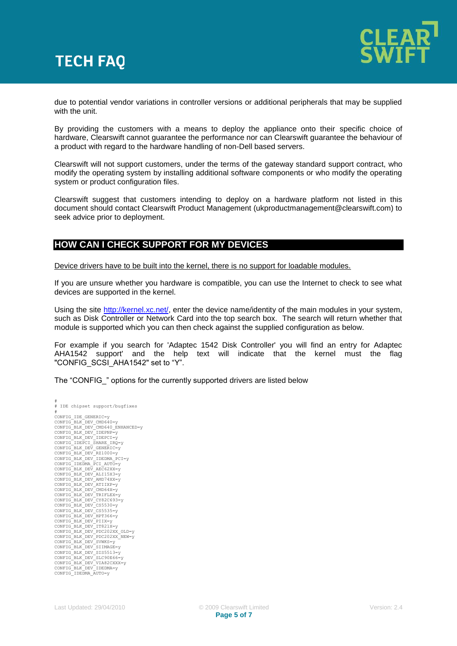

due to potential vendor variations in controller versions or additional peripherals that may be supplied with the unit.

By providing the customers with a means to deploy the appliance onto their specific choice of hardware, Clearswift cannot guarantee the performance nor can Clearswift guarantee the behaviour of a product with regard to the hardware handling of non-Dell based servers.

Clearswift will not support customers, under the terms of the gateway standard support contract, who modify the operating system by installing additional software components or who modify the operating system or product configuration files.

Clearswift suggest that customers intending to deploy on a hardware platform not listed in this document should contact Clearswift Product Management (ukproductmanagement@clearswift.com) to seek advice prior to deployment.

#### **HOW CAN I CHECK SUPPORT FOR MY DEVICES**

Device drivers have to be built into the kernel, there is no support for loadable modules.

If you are unsure whether you hardware is compatible, you can use the Internet to check to see what devices are supported in the kernel.

Using the site [http://kernel.xc.net/,](http://kernel.xc.net/) enter the device name/identity of the main modules in your system, such as Disk Controller or Network Card into the top search box. The search will return whether that module is supported which you can then check against the supplied configuration as below.

For example if you search for 'Adaptec 1542 Disk Controller' you will find an entry for Adaptec AHA1542 support' and the help text will indicate that the kernel must the flag "CONFIG\_SCSI\_AHA1542" set to "Y".

The "CONFIG\_" options for the currently supported drivers are listed below

# # IDE chipset support/bugfixes # CONFIG\_IDE\_GENERIC=Y<br>CONFIG\_IDE\_GENERIC=Y<br>CONFIG\_BLK\_DEV\_CMD640=Y<br>CONFIG\_BLK\_DEV\_CMD640\_ENHANCED=Y<br>CONFIG\_BLK\_DEV\_IDEPCI=Y<br>CONFIG\_IDEPCI\_SHARE\_IRQ=Y<br>CONFIG\_IDEPCI\_SHARE\_IRQ=Y<br>CONFIG\_IDEPCI\_SHARE\_IRQ=Y<br>CONFIG\_IDEPCI\_SHARE CONFIG\_BLK\_DEV\_PDC202XX\_NEW=y<br>CONFIG\_BLK\_DEV\_SVWKS=y<br>CONFIG\_BLK\_DEV\_SIIMAGE=y<br>CONFIG\_BLK\_DEV\_SIS5513=y<br>CONFIG\_BLK\_DEV\_SLC90E66=y<br>CONFIG\_BLK\_DEV\_VIA82CXXX=y<br>CONFIG\_IDEDMA\_AUTO=y<br>CONFIG\_IDEDMA\_AUTO=y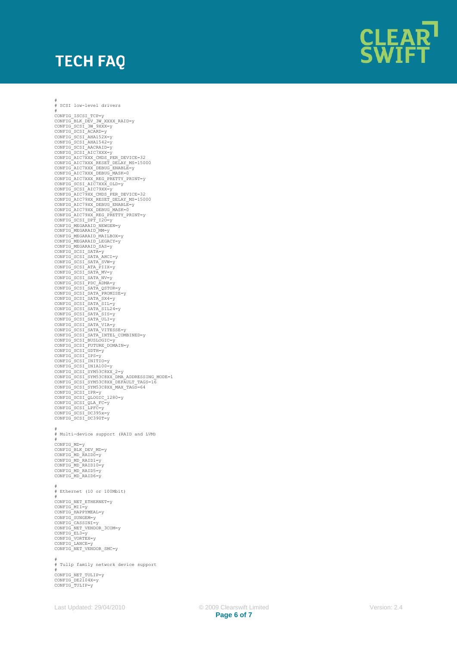

# SCSI low-level drivers<br># SCSI low-level drivers<br>0<br>CONFIG BICSI TCP=y<br>
CONFIG BICSI TCP=y<br>
CONFIG SCSI 2<br>
CONFIG SCSI 2<br>
CONFIG SCSI ARAIS2X=y<br>
CONFIG SCSI ARAIS2X=y<br>
CONFIG SCSI ARAIS2X=y<br>
CONFIG SCSI ARAIS2X=y<br>
CONFIG A CONFIG\_SCSI\_QLA\_FC=y CONFIG\_SCSI\_LPFC=y CONFIG\_SCSI\_DC395x=y CONFIG\_SCSI\_DC390T=y # # Multi -device support (RAID and LVM) # CONFIG\_MD=v CONFIG\_BLK\_DEV\_MD=y CONFIG\_MD\_RAID0=y CONFIG\_MD\_RAID1=y<br>CONFIG\_MD\_RAID10=y<br>CONFIG\_MD\_RAID5=y<br>CONFIG\_MD\_RAID6=y # # Ethernet (10 or 100Mbit) #<br>CONFIG NET ETHERNET=y CONFIG\_MII=y<br>CONFIG\_HAPPYMEAL=y<br>CONFIG\_CONGEM=y<br>CONFIG\_CASSINI=y<br>CONFIG\_NET\_VENDOR\_3COM=y<br>CONFIG\_VORTEX=y CONFIG\_LANCE=y<br>CONFIG\_NET\_VENDOR\_SMC=y # # Tulip family network device support # CONFIG\_NET\_TULIP=y CONFIG\_DE2104X=y CONFIG\_TULIP=y

Last Updated: 29/04/2010 © 2009 Clearswift Limited Version: 2. **Page 6 of 7**